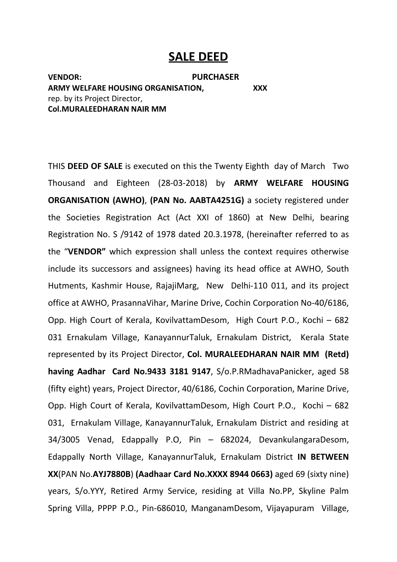# **SALE DEED**

**VENDOR: PURCHASER ARMY WELFARE HOUSING ORGANISATION, XXX** rep. by its Project Director, **Col.MURALEEDHARAN NAIR MM**

THIS **DEED OF SALE** is executed on this the Twenty Eighth day of March Two Thousand and Eighteen (28-03-2018) by **ARMY WELFARE HOUSING ORGANISATION (AWHO)**, **(PAN No. AABTA4251G)** a society registered under the Societies Registration Act (Act XXI of 1860) at New Delhi, bearing Registration No. S /9142 of 1978 dated 20.3.1978, (hereinafter referred to as the "**VENDOR"** which expression shall unless the context requires otherwise include its successors and assignees) having its head office at AWHO, South Hutments, Kashmir House, RajajiMarg, New Delhi-110 011, and its project office at AWHO, PrasannaVihar, Marine Drive, Cochin Corporation No-40/6186, Opp. High Court of Kerala, KovilvattamDesom, High Court P.O., Kochi – 682 031 Ernakulam Village, KanayannurTaluk, Ernakulam District, Kerala State represented by its Project Director, **Col. MURALEEDHARAN NAIR MM (Retd) having Aadhar Card No.9433 3181 9147**, S/o.P.RMadhavaPanicker, aged 58 (fifty eight) years, Project Director, 40/6186, Cochin Corporation, Marine Drive, Opp. High Court of Kerala, KovilvattamDesom, High Court P.O., Kochi – 682 031, Ernakulam Village, KanayannurTaluk, Ernakulam District and residing at 34/3005 Venad, Edappally P.O, Pin – 682024, DevankulangaraDesom, Edappally North Village, KanayannurTaluk, Ernakulam District **IN BETWEEN XX**(PAN No.**AYJ7880B**) **(Aadhaar Card No.XXXX 8944 0663)** aged 69 (sixty nine) years, S/o.YYY, Retired Army Service, residing at Villa No.PP, Skyline Palm Spring Villa, PPPP P.O., Pin-686010, ManganamDesom, Vijayapuram Village,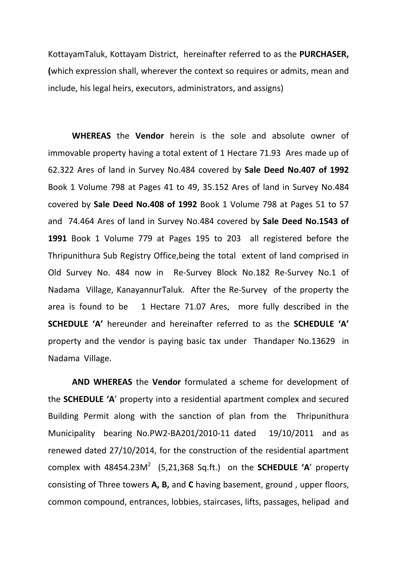KottayamTaluk, Kottayam District, hereinafter referred to as the **PURCHASER, (**which expression shall, wherever the context so requires or admits, mean and include, his legal heirs, executors, administrators, and assigns)

**WHEREAS** the **Vendor** herein is the sole and absolute owner of immovable property having a total extent of 1 Hectare 71.93 Ares made up of 62.322 Ares of land in Survey No.484 covered by **Sale Deed No.407 of 1992** Book 1 Volume 798 at Pages 41 to 49, 35.152 Ares of land in Survey No.484 covered by **Sale Deed No.408 of 1992** Book 1 Volume 798 at Pages 51 to 57 and 74.464 Ares of land in Survey No.484 covered by **Sale Deed No.1543 of 1991** Book 1 Volume 779 at Pages 195 to 203 all registered before the Thripunithura Sub Registry Office,being the total extent of land comprised in Old Survey No. 484 now in Re-Survey Block No.182 Re-Survey No.1 of Nadama Village, KanayannurTaluk. After the Re-Survey of the property the area is found to be 1 Hectare 71.07 Ares, more fully described in the **SCHEDULE 'A'** hereunder and hereinafter referred to as the **SCHEDULE 'A'**  property and the vendor is paying basic tax under Thandaper No.13629 in Nadama Village.

**AND WHEREAS** the **Vendor** formulated a scheme for development of the **SCHEDULE 'A**' property into a residential apartment complex and secured Building Permit along with the sanction of plan from the Thripunithura Municipality bearing No.PW2-BA201/2010-11 dated 19/10/2011 and as renewed dated 27/10/2014, for the construction of the residential apartment complex with  $48454.23M^2$  (5,21,368 Sq.ft.) on the **SCHEDULE 'A'** property consisting of Three towers **A, B,** and **C** having basement, ground , upper floors, common compound, entrances, lobbies, staircases, lifts, passages, helipad and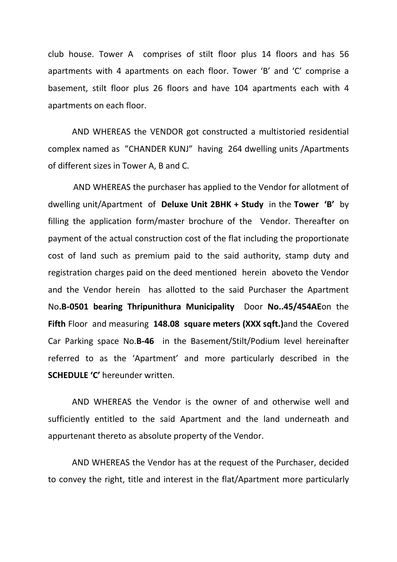club house. Tower A comprises of stilt floor plus 14 floors and has 56 apartments with 4 apartments on each floor. Tower 'B' and 'C' comprise a basement, stilt floor plus 26 floors and have 104 apartments each with 4 apartments on each floor.

AND WHEREAS the VENDOR got constructed a multistoried residential complex named as "CHANDER KUNJ" having 264 dwelling units /Apartments of different sizes in Tower A, B and C.

 AND WHEREAS the purchaser has applied to the Vendor for allotment of dwelling unit/Apartment of **Deluxe Unit 2BHK + Study** in the **Tower 'B'** by filling the application form/master brochure of the Vendor. Thereafter on payment of the actual construction cost of the flat including the proportionate cost of land such as premium paid to the said authority, stamp duty and registration charges paid on the deed mentioned herein aboveto the Vendor and the Vendor herein has allotted to the said Purchaser the Apartment No**.B-0501 bearing Thripunithura Municipality** Door **No..45/454AE**on the **Fifth** Floor and measuring **148.08 square meters (XXX sqft.)**and the Covered Car Parking space No.**B-46** in the Basement/Stilt/Podium level hereinafter referred to as the 'Apartment' and more particularly described in the **SCHEDULE 'C'** hereunder written.

AND WHEREAS the Vendor is the owner of and otherwise well and sufficiently entitled to the said Apartment and the land underneath and appurtenant thereto as absolute property of the Vendor.

AND WHEREAS the Vendor has at the request of the Purchaser, decided to convey the right, title and interest in the flat/Apartment more particularly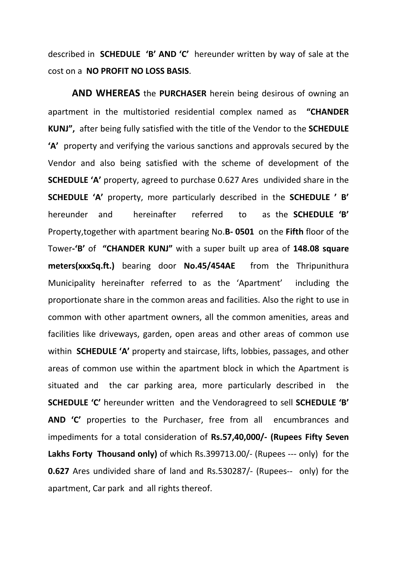described in **SCHEDULE 'B' AND 'C'** hereunder written by way of sale at the cost on a **NO PROFIT NO LOSS BASIS**.

**AND WHEREAS** the **PURCHASER** herein being desirous of owning an apartment in the multistoried residential complex named as **"CHANDER KUNJ",** after being fully satisfied with the title of the Vendor to the **SCHEDULE 'A'** property and verifying the various sanctions and approvals secured by the Vendor and also being satisfied with the scheme of development of the **SCHEDULE 'A'** property, agreed to purchase 0.627 Ares undivided share in the **SCHEDULE 'A'** property, more particularly described in the **SCHEDULE ' B'** hereunder and hereinafter referred to as the **SCHEDULE 'B'**  Property,together with apartment bearing No.**B- 0501** on the **Fifth** floor of the Tower**-'B'** of **"CHANDER KUNJ"** with a super built up area of **148.08 square meters(xxxSq.ft.)** bearing door **No.45/454AE** from the Thripunithura Municipality hereinafter referred to as the 'Apartment' including the proportionate share in the common areas and facilities. Also the right to use in common with other apartment owners, all the common amenities, areas and facilities like driveways, garden, open areas and other areas of common use within **SCHEDULE 'A'** property and staircase, lifts, lobbies, passages, and other areas of common use within the apartment block in which the Apartment is situated and the car parking area, more particularly described in the **SCHEDULE 'C'** hereunder written and the Vendoragreed to sell **SCHEDULE 'B' AND 'C'** properties to the Purchaser, free from all encumbrances and impediments for a total consideration of **Rs.57,40,000/- (Rupees Fifty Seven Lakhs Forty Thousand only)** of which Rs.399713.00/- (Rupees --- only) for the **0.627** Ares undivided share of land and Rs.530287/- (Rupees-- only) for the apartment, Car park and all rights thereof.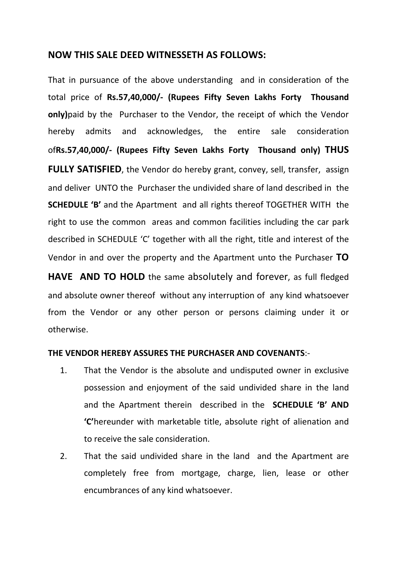### **NOW THIS SALE DEED WITNESSETH AS FOLLOWS:**

That in pursuance of the above understanding and in consideration of the total price of **Rs.57,40,000/- (Rupees Fifty Seven Lakhs Forty Thousand only)**paid by the Purchaser to the Vendor, the receipt of which the Vendor hereby admits and acknowledges, the entire sale consideration of**Rs.57,40,000/- (Rupees Fifty Seven Lakhs Forty Thousand only) THUS FULLY SATISFIED**, the Vendor do hereby grant, convey, sell, transfer, assign and deliver UNTO the Purchaser the undivided share of land described in the **SCHEDULE 'B'** and the Apartment and all rights thereof TOGETHER WITH the right to use the common areas and common facilities including the car park described in SCHEDULE 'C' together with all the right, title and interest of the Vendor in and over the property and the Apartment unto the Purchaser **TO** 

**HAVE AND TO HOLD** the same absolutely and forever, as full fledged and absolute owner thereof without any interruption of any kind whatsoever from the Vendor or any other person or persons claiming under it or otherwise.

### **THE VENDOR HEREBY ASSURES THE PURCHASER AND COVENANTS**:-

- 1. That the Vendor is the absolute and undisputed owner in exclusive possession and enjoyment of the said undivided share in the land and the Apartment therein described in the **SCHEDULE 'B' AND 'C'**hereunder with marketable title, absolute right of alienation and to receive the sale consideration.
- 2. That the said undivided share in the land and the Apartment are completely free from mortgage, charge, lien, lease or other encumbrances of any kind whatsoever.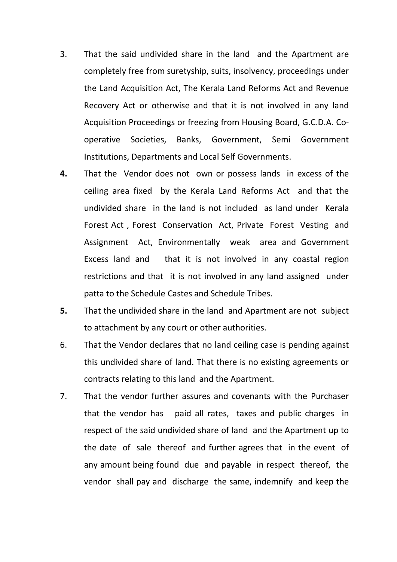- 3. That the said undivided share in the land and the Apartment are completely free from suretyship, suits, insolvency, proceedings under the Land Acquisition Act, The Kerala Land Reforms Act and Revenue Recovery Act or otherwise and that it is not involved in any land Acquisition Proceedings or freezing from Housing Board, G.C.D.A. Cooperative Societies, Banks, Government, Semi Government Institutions, Departments and Local Self Governments.
- **4.** That the Vendor does not own or possess lands in excess of the ceiling area fixed by the Kerala Land Reforms Act and that the undivided share in the land is not included as land under Kerala Forest Act , Forest Conservation Act, Private Forest Vesting and Assignment Act, Environmentally weak area and Government Excess land and that it is not involved in any coastal region restrictions and that it is not involved in any land assigned under patta to the Schedule Castes and Schedule Tribes.
- **5.** That the undivided share in the land and Apartment are not subject to attachment by any court or other authorities.
- 6. That the Vendor declares that no land ceiling case is pending against this undivided share of land. That there is no existing agreements or contracts relating to this land and the Apartment.
- 7. That the vendor further assures and covenants with the Purchaser that the vendor has paid all rates, taxes and public charges in respect of the said undivided share of land and the Apartment up to the date of sale thereof and further agrees that in the event of any amount being found due and payable in respect thereof, the vendor shall pay and discharge the same, indemnify and keep the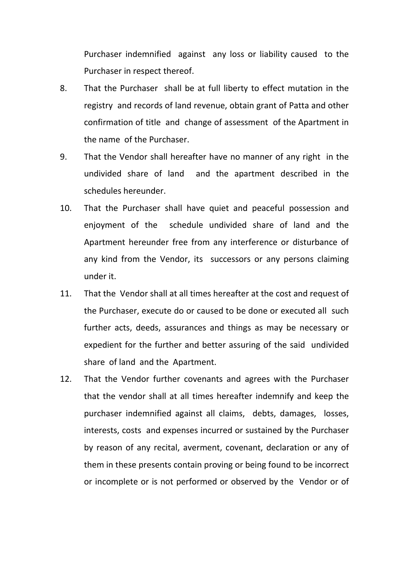Purchaser indemnified against any loss or liability caused to the Purchaser in respect thereof.

- 8. That the Purchaser shall be at full liberty to effect mutation in the registry and records of land revenue, obtain grant of Patta and other confirmation of title and change of assessment of the Apartment in the name of the Purchaser.
- 9. That the Vendor shall hereafter have no manner of any right in the undivided share of land and the apartment described in the schedules hereunder.
- 10. That the Purchaser shall have quiet and peaceful possession and enjoyment of the schedule undivided share of land and the Apartment hereunder free from any interference or disturbance of any kind from the Vendor, its successors or any persons claiming under it.
- 11. That the Vendor shall at all times hereafter at the cost and request of the Purchaser, execute do or caused to be done or executed all such further acts, deeds, assurances and things as may be necessary or expedient for the further and better assuring of the said undivided share of land and the Apartment.
- 12. That the Vendor further covenants and agrees with the Purchaser that the vendor shall at all times hereafter indemnify and keep the purchaser indemnified against all claims, debts, damages, losses, interests, costs and expenses incurred or sustained by the Purchaser by reason of any recital, averment, covenant, declaration or any of them in these presents contain proving or being found to be incorrect or incomplete or is not performed or observed by the Vendor or of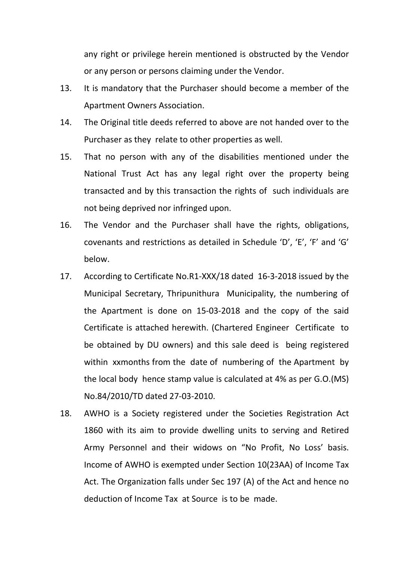any right or privilege herein mentioned is obstructed by the Vendor or any person or persons claiming under the Vendor.

- 13. It is mandatory that the Purchaser should become a member of the Apartment Owners Association.
- 14. The Original title deeds referred to above are not handed over to the Purchaser as they relate to other properties as well.
- 15. That no person with any of the disabilities mentioned under the National Trust Act has any legal right over the property being transacted and by this transaction the rights of such individuals are not being deprived nor infringed upon.
- 16. The Vendor and the Purchaser shall have the rights, obligations, covenants and restrictions as detailed in Schedule 'D', 'E', 'F' and 'G' below.
- 17. According to Certificate No.R1-XXX/18 dated 16-3-2018 issued by the Municipal Secretary, Thripunithura Municipality, the numbering of the Apartment is done on 15-03-2018 and the copy of the said Certificate is attached herewith. (Chartered Engineer Certificate to be obtained by DU owners) and this sale deed is being registered within xxmonths from the date of numbering of the Apartment by the local body hence stamp value is calculated at 4% as per G.O.(MS) No.84/2010/TD dated 27-03-2010.
- 18. AWHO is a Society registered under the Societies Registration Act 1860 with its aim to provide dwelling units to serving and Retired Army Personnel and their widows on "No Profit, No Loss' basis. Income of AWHO is exempted under Section 10(23AA) of Income Tax Act. The Organization falls under Sec 197 (A) of the Act and hence no deduction of Income Tax at Source is to be made.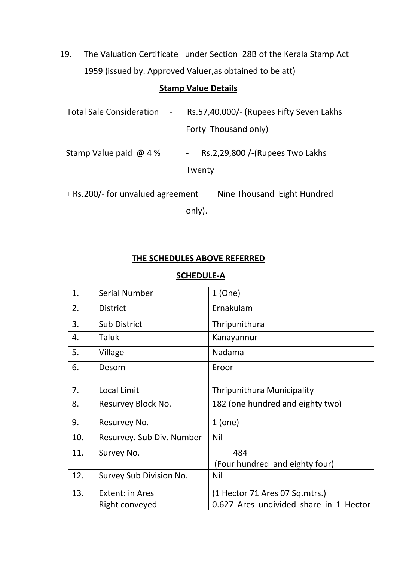19. The Valuation Certificate under Section 28B of the Kerala Stamp Act 1959 )issued by. Approved Valuer,as obtained to be att)

# **Stamp Value Details**

| Total Sale Consideration -        | Rs.57,40,000/- (Rupees Fifty Seven Lakhs |                                 |  |  |  |
|-----------------------------------|------------------------------------------|---------------------------------|--|--|--|
|                                   | Forty Thousand only)                     |                                 |  |  |  |
| Stamp Value paid $\omega$ 4 %     | $\overline{\phantom{a}}$                 | Rs.2,29,800 /-(Rupees Two Lakhs |  |  |  |
|                                   |                                          | Twenty                          |  |  |  |
| + Rs.200/- for unvalued agreement |                                          | Nine Thousand Eight Hundred     |  |  |  |
|                                   | only).                                   |                                 |  |  |  |

## **THE SCHEDULES ABOVE REFERRED**

### **SCHEDULE-A**

| 1.  | <b>Serial Number</b>      | 1(One)                                 |
|-----|---------------------------|----------------------------------------|
| 2.  | <b>District</b>           | Ernakulam                              |
| 3.  | <b>Sub District</b>       | Thripunithura                          |
| 4.  | <b>Taluk</b>              | Kanayannur                             |
| 5.  | Village                   | Nadama                                 |
| 6.  | Desom                     | Eroor                                  |
| 7.  | <b>Local Limit</b>        | <b>Thripunithura Municipality</b>      |
| 8.  | Resurvey Block No.        | 182 (one hundred and eighty two)       |
| 9.  | Resurvey No.              | $1$ (one)                              |
| 10. | Resurvey. Sub Div. Number | <b>Nil</b>                             |
| 11. | Survey No.                | 484                                    |
|     |                           | (Four hundred and eighty four)         |
| 12. | Survey Sub Division No.   | <b>Nil</b>                             |
| 13. | Extent: in Ares           | (1 Hector 71 Ares 07 Sq.mtrs.)         |
|     | Right conveyed            | 0.627 Ares undivided share in 1 Hector |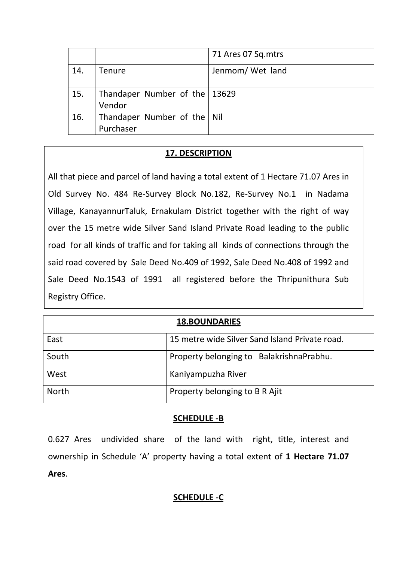|     |                                            | 71 Ares 07 Sq.mtrs |
|-----|--------------------------------------------|--------------------|
| 14. | <b>Tenure</b>                              | Jenmom/Wet land    |
| 15. | Thandaper Number of the   13629<br>Vendor  |                    |
| 16. | Thandaper Number of the   Nil<br>Purchaser |                    |

## **17. DESCRIPTION**

All that piece and parcel of land having a total extent of 1 Hectare 71.07 Ares in Old Survey No. 484 Re-Survey Block No.182, Re-Survey No.1 in Nadama Village, KanayannurTaluk, Ernakulam District together with the right of way over the 15 metre wide Silver Sand Island Private Road leading to the public road for all kinds of traffic and for taking all kinds of connections through the said road covered by Sale Deed No.409 of 1992, Sale Deed No.408 of 1992 and Sale Deed No.1543 of 1991 all registered before the Thripunithura Sub Registry Office.

| <b>18.BOUNDARIES</b> |                                                |  |  |  |
|----------------------|------------------------------------------------|--|--|--|
| East                 | 15 metre wide Silver Sand Island Private road. |  |  |  |
| South                | Property belonging to BalakrishnaPrabhu.       |  |  |  |
| West                 | Kaniyampuzha River                             |  |  |  |
| <b>North</b>         | Property belonging to B R Ajit                 |  |  |  |

## **SCHEDULE -B**

0.627 Ares undivided share of the land with right, title, interest and ownership in Schedule 'A' property having a total extent of **1 Hectare 71.07 Ares**.

## **SCHEDULE -C**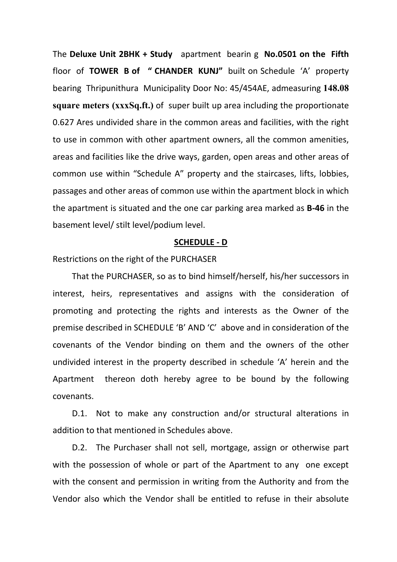The **Deluxe Unit 2BHK + Study** apartment bearin g **No.0501 on the Fifth** floor of **TOWER B of " CHANDER KUNJ"** built on Schedule 'A' property bearing Thripunithura Municipality Door No: 45/454AE, admeasuring **148.08 square meters (xxxSq.ft.)** of super built up area including the proportionate 0.627 Ares undivided share in the common areas and facilities, with the right to use in common with other apartment owners, all the common amenities, areas and facilities like the drive ways, garden, open areas and other areas of common use within "Schedule A" property and the staircases, lifts, lobbies, passages and other areas of common use within the apartment block in which the apartment is situated and the one car parking area marked as **B-46** in the basement level/ stilt level/podium level.

#### **SCHEDULE - D**

Restrictions on the right of the PURCHASER

That the PURCHASER, so as to bind himself/herself, his/her successors in interest, heirs, representatives and assigns with the consideration of promoting and protecting the rights and interests as the Owner of the premise described in SCHEDULE 'B' AND 'C' above and in consideration of the covenants of the Vendor binding on them and the owners of the other undivided interest in the property described in schedule 'A' herein and the Apartment thereon doth hereby agree to be bound by the following covenants.

D.1. Not to make any construction and/or structural alterations in addition to that mentioned in Schedules above.

D.2. The Purchaser shall not sell, mortgage, assign or otherwise part with the possession of whole or part of the Apartment to any one except with the consent and permission in writing from the Authority and from the Vendor also which the Vendor shall be entitled to refuse in their absolute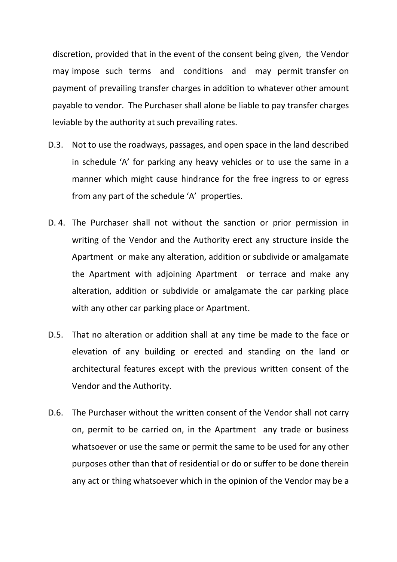discretion, provided that in the event of the consent being given, the Vendor may impose such terms and conditions and may permit transfer on payment of prevailing transfer charges in addition to whatever other amount payable to vendor. The Purchaser shall alone be liable to pay transfer charges leviable by the authority at such prevailing rates.

- D.3. Not to use the roadways, passages, and open space in the land described in schedule 'A' for parking any heavy vehicles or to use the same in a manner which might cause hindrance for the free ingress to or egress from any part of the schedule 'A' properties.
- D. 4. The Purchaser shall not without the sanction or prior permission in writing of the Vendor and the Authority erect any structure inside the Apartment or make any alteration, addition or subdivide or amalgamate the Apartment with adjoining Apartment or terrace and make any alteration, addition or subdivide or amalgamate the car parking place with any other car parking place or Apartment.
- D.5. That no alteration or addition shall at any time be made to the face or elevation of any building or erected and standing on the land or architectural features except with the previous written consent of the Vendor and the Authority.
- D.6. The Purchaser without the written consent of the Vendor shall not carry on, permit to be carried on, in the Apartment any trade or business whatsoever or use the same or permit the same to be used for any other purposes other than that of residential or do or suffer to be done therein any act or thing whatsoever which in the opinion of the Vendor may be a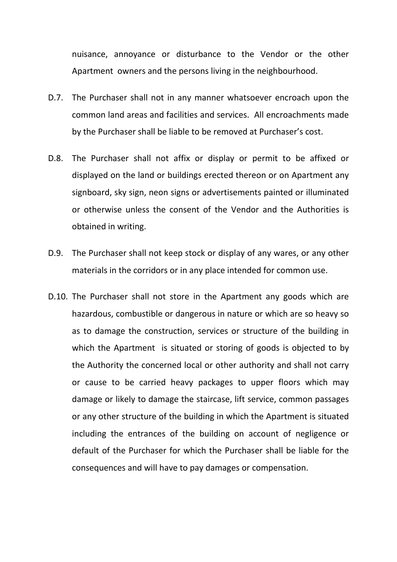nuisance, annoyance or disturbance to the Vendor or the other Apartment owners and the persons living in the neighbourhood.

- D.7. The Purchaser shall not in any manner whatsoever encroach upon the common land areas and facilities and services. All encroachments made by the Purchaser shall be liable to be removed at Purchaser's cost.
- D.8. The Purchaser shall not affix or display or permit to be affixed or displayed on the land or buildings erected thereon or on Apartment any signboard, sky sign, neon signs or advertisements painted or illuminated or otherwise unless the consent of the Vendor and the Authorities is obtained in writing.
- D.9. The Purchaser shall not keep stock or display of any wares, or any other materials in the corridors or in any place intended for common use.
- D.10. The Purchaser shall not store in the Apartment any goods which are hazardous, combustible or dangerous in nature or which are so heavy so as to damage the construction, services or structure of the building in which the Apartment is situated or storing of goods is objected to by the Authority the concerned local or other authority and shall not carry or cause to be carried heavy packages to upper floors which may damage or likely to damage the staircase, lift service, common passages or any other structure of the building in which the Apartment is situated including the entrances of the building on account of negligence or default of the Purchaser for which the Purchaser shall be liable for the consequences and will have to pay damages or compensation.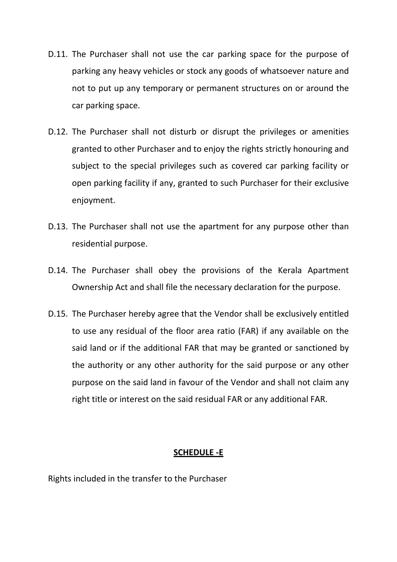- D.11. The Purchaser shall not use the car parking space for the purpose of parking any heavy vehicles or stock any goods of whatsoever nature and not to put up any temporary or permanent structures on or around the car parking space.
- D.12. The Purchaser shall not disturb or disrupt the privileges or amenities granted to other Purchaser and to enjoy the rights strictly honouring and subject to the special privileges such as covered car parking facility or open parking facility if any, granted to such Purchaser for their exclusive enjoyment.
- D.13. The Purchaser shall not use the apartment for any purpose other than residential purpose.
- D.14. The Purchaser shall obey the provisions of the Kerala Apartment Ownership Act and shall file the necessary declaration for the purpose.
- D.15. The Purchaser hereby agree that the Vendor shall be exclusively entitled to use any residual of the floor area ratio (FAR) if any available on the said land or if the additional FAR that may be granted or sanctioned by the authority or any other authority for the said purpose or any other purpose on the said land in favour of the Vendor and shall not claim any right title or interest on the said residual FAR or any additional FAR.

### **SCHEDULE -E**

Rights included in the transfer to the Purchaser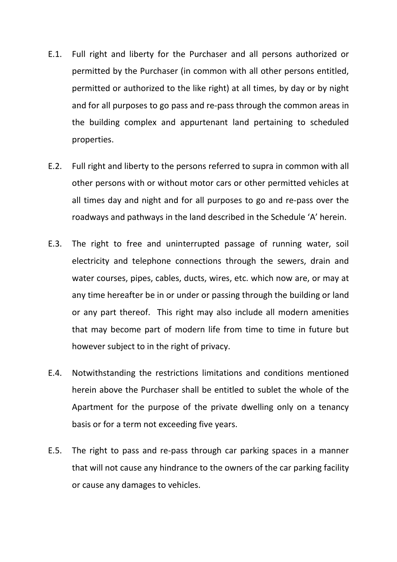- E.1. Full right and liberty for the Purchaser and all persons authorized or permitted by the Purchaser (in common with all other persons entitled, permitted or authorized to the like right) at all times, by day or by night and for all purposes to go pass and re-pass through the common areas in the building complex and appurtenant land pertaining to scheduled properties.
- E.2. Full right and liberty to the persons referred to supra in common with all other persons with or without motor cars or other permitted vehicles at all times day and night and for all purposes to go and re-pass over the roadways and pathways in the land described in the Schedule 'A' herein.
- E.3. The right to free and uninterrupted passage of running water, soil electricity and telephone connections through the sewers, drain and water courses, pipes, cables, ducts, wires, etc. which now are, or may at any time hereafter be in or under or passing through the building or land or any part thereof. This right may also include all modern amenities that may become part of modern life from time to time in future but however subject to in the right of privacy.
- E.4. Notwithstanding the restrictions limitations and conditions mentioned herein above the Purchaser shall be entitled to sublet the whole of the Apartment for the purpose of the private dwelling only on a tenancy basis or for a term not exceeding five years.
- E.5. The right to pass and re-pass through car parking spaces in a manner that will not cause any hindrance to the owners of the car parking facility or cause any damages to vehicles.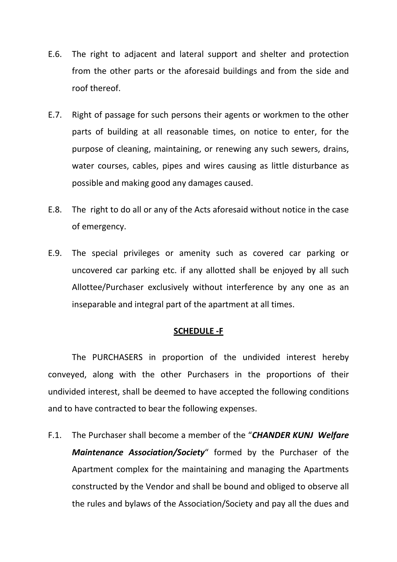- E.6. The right to adjacent and lateral support and shelter and protection from the other parts or the aforesaid buildings and from the side and roof thereof.
- E.7. Right of passage for such persons their agents or workmen to the other parts of building at all reasonable times, on notice to enter, for the purpose of cleaning, maintaining, or renewing any such sewers, drains, water courses, cables, pipes and wires causing as little disturbance as possible and making good any damages caused.
- E.8. The right to do all or any of the Acts aforesaid without notice in the case of emergency.
- E.9. The special privileges or amenity such as covered car parking or uncovered car parking etc. if any allotted shall be enjoyed by all such Allottee/Purchaser exclusively without interference by any one as an inseparable and integral part of the apartment at all times.

### **SCHEDULE -F**

The PURCHASERS in proportion of the undivided interest hereby conveyed, along with the other Purchasers in the proportions of their undivided interest, shall be deemed to have accepted the following conditions and to have contracted to bear the following expenses.

F.1. The Purchaser shall become a member of the "*CHANDER KUNJ Welfare Maintenance Association/Society*" formed by the Purchaser of the Apartment complex for the maintaining and managing the Apartments constructed by the Vendor and shall be bound and obliged to observe all the rules and bylaws of the Association/Society and pay all the dues and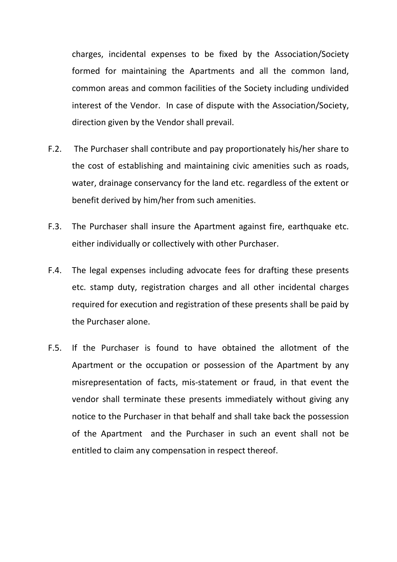charges, incidental expenses to be fixed by the Association/Society formed for maintaining the Apartments and all the common land, common areas and common facilities of the Society including undivided interest of the Vendor. In case of dispute with the Association/Society, direction given by the Vendor shall prevail.

- F.2. The Purchaser shall contribute and pay proportionately his/her share to the cost of establishing and maintaining civic amenities such as roads, water, drainage conservancy for the land etc. regardless of the extent or benefit derived by him/her from such amenities.
- F.3. The Purchaser shall insure the Apartment against fire, earthquake etc. either individually or collectively with other Purchaser.
- F.4. The legal expenses including advocate fees for drafting these presents etc. stamp duty, registration charges and all other incidental charges required for execution and registration of these presents shall be paid by the Purchaser alone.
- F.5. If the Purchaser is found to have obtained the allotment of the Apartment or the occupation or possession of the Apartment by any misrepresentation of facts, mis-statement or fraud, in that event the vendor shall terminate these presents immediately without giving any notice to the Purchaser in that behalf and shall take back the possession of the Apartment and the Purchaser in such an event shall not be entitled to claim any compensation in respect thereof.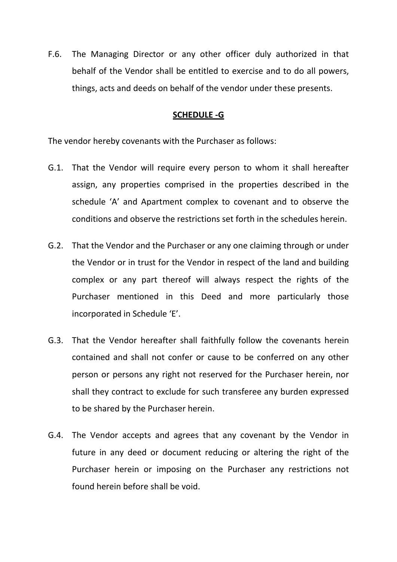F.6. The Managing Director or any other officer duly authorized in that behalf of the Vendor shall be entitled to exercise and to do all powers, things, acts and deeds on behalf of the vendor under these presents.

### **SCHEDULE -G**

The vendor hereby covenants with the Purchaser as follows:

- G.1. That the Vendor will require every person to whom it shall hereafter assign, any properties comprised in the properties described in the schedule 'A' and Apartment complex to covenant and to observe the conditions and observe the restrictions set forth in the schedules herein.
- G.2. That the Vendor and the Purchaser or any one claiming through or under the Vendor or in trust for the Vendor in respect of the land and building complex or any part thereof will always respect the rights of the Purchaser mentioned in this Deed and more particularly those incorporated in Schedule 'E'.
- G.3. That the Vendor hereafter shall faithfully follow the covenants herein contained and shall not confer or cause to be conferred on any other person or persons any right not reserved for the Purchaser herein, nor shall they contract to exclude for such transferee any burden expressed to be shared by the Purchaser herein.
- G.4. The Vendor accepts and agrees that any covenant by the Vendor in future in any deed or document reducing or altering the right of the Purchaser herein or imposing on the Purchaser any restrictions not found herein before shall be void.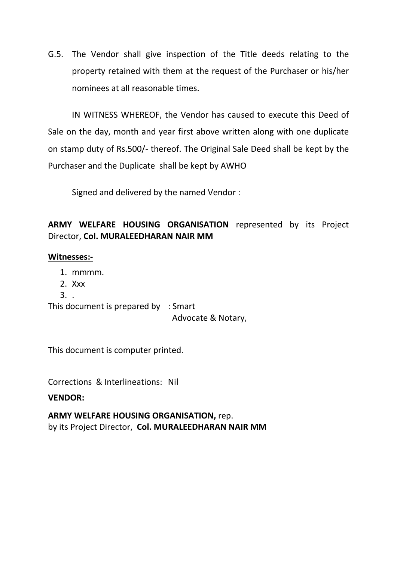G.5. The Vendor shall give inspection of the Title deeds relating to the property retained with them at the request of the Purchaser or his/her nominees at all reasonable times.

IN WITNESS WHEREOF, the Vendor has caused to execute this Deed of Sale on the day, month and year first above written along with one duplicate on stamp duty of Rs.500/- thereof. The Original Sale Deed shall be kept by the Purchaser and the Duplicate shall be kept by AWHO

Signed and delivered by the named Vendor :

# **ARMY WELFARE HOUSING ORGANISATION** represented by its Project Director, **Col. MURALEEDHARAN NAIR MM**

### **Witnesses:-**

- 1. mmmm.
- 2. Xxx
- 3. .

This document is prepared by : Smart Advocate & Notary,

This document is computer printed.

Corrections & Interlineations: Nil

### **VENDOR:**

**ARMY WELFARE HOUSING ORGANISATION,** rep. by its Project Director, **Col. MURALEEDHARAN NAIR MM**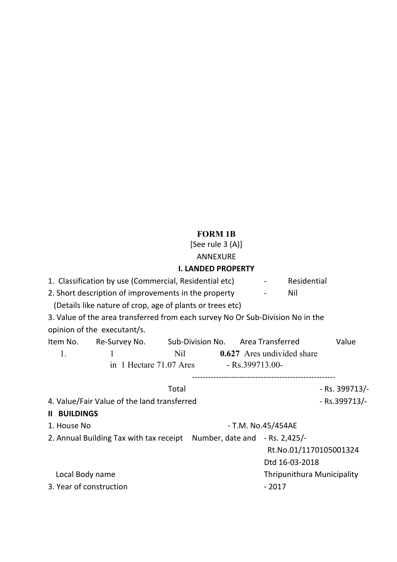# **FORM 1B**

[See rule 3 (A)] ANNEXURE

# **I. LANDED PROPERTY**

|                                                                                                   |                                                                                |       | I. LANDLD FINDFLIN I |               |                            |                            |                        |  |
|---------------------------------------------------------------------------------------------------|--------------------------------------------------------------------------------|-------|----------------------|---------------|----------------------------|----------------------------|------------------------|--|
| 1. Classification by use (Commercial, Residential etc)<br>Residential<br>$\overline{\phantom{a}}$ |                                                                                |       |                      |               |                            |                            |                        |  |
| 2. Short description of improvements in the property                                              |                                                                                |       |                      |               |                            | Nil                        |                        |  |
| (Details like nature of crop, age of plants or trees etc)                                         |                                                                                |       |                      |               |                            |                            |                        |  |
|                                                                                                   | 3. Value of the area transferred from each survey No Or Sub-Division No in the |       |                      |               |                            |                            |                        |  |
|                                                                                                   | opinion of the executant/s.                                                    |       |                      |               |                            |                            |                        |  |
|                                                                                                   | Item No. Re-Survey No. Sub-Division No. Area Transferred                       |       |                      |               |                            |                            | Value                  |  |
| 1.                                                                                                |                                                                                | Nil   |                      |               |                            | 0.627 Ares undivided share |                        |  |
| in 1 Hectare 71.07 Ares - Rs.399713.00-                                                           |                                                                                |       |                      |               |                            |                            |                        |  |
|                                                                                                   |                                                                                |       |                      |               |                            |                            |                        |  |
|                                                                                                   |                                                                                | Total |                      |               |                            |                            | - Rs. 399713/-         |  |
| 4. Value/Fair Value of the land transferred                                                       |                                                                                |       |                      | - Rs.399713/- |                            |                            |                        |  |
| <b>II BUILDINGS</b>                                                                               |                                                                                |       |                      |               |                            |                            |                        |  |
| - T.M. No.45/454AE<br>1. House No                                                                 |                                                                                |       |                      |               |                            |                            |                        |  |
| 2. Annual Building Tax with tax receipt Number, date and - Rs. 2,425/-                            |                                                                                |       |                      |               |                            |                            |                        |  |
|                                                                                                   |                                                                                |       |                      |               |                            |                            | Rt.No.01/1170105001324 |  |
|                                                                                                   |                                                                                |       |                      |               |                            | Dtd 16-03-2018             |                        |  |
| Local Body name                                                                                   |                                                                                |       |                      |               | Thripunithura Municipality |                            |                        |  |
| 3. Year of construction                                                                           |                                                                                |       |                      | $-2017$       |                            |                            |                        |  |